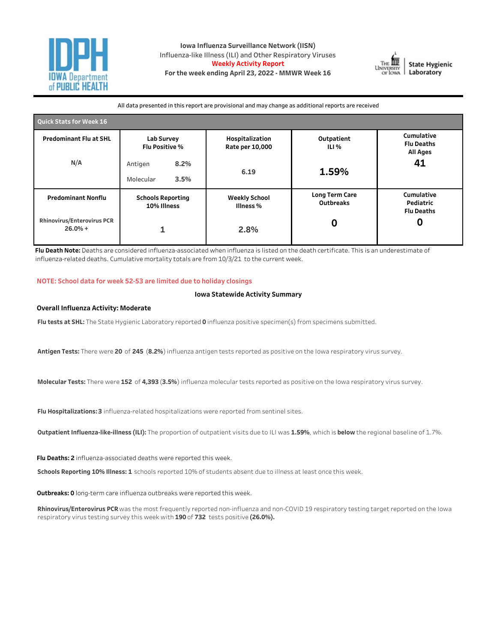

**Iowa Influenza Surveillance Network (IISN)** Influenza-like Illness (ILI) and Other Respiratory Viruses **Weekly Activity Report** For the week ending April 23, 2022 - MMWR Week 16



All data presented in this report are provisional and may change as additional reports are received

| <b>Quick Stats for Week 16</b>                 |                                         |                                                      |                                    |                                              |  |  |  |  |  |  |
|------------------------------------------------|-----------------------------------------|------------------------------------------------------|------------------------------------|----------------------------------------------|--|--|--|--|--|--|
| <b>Predominant Flu at SHL</b>                  | <b>Lab Survey</b>                       | Hospitalization<br>Flu Positive %<br>Rate per 10,000 |                                    | Cumulative<br><b>Flu Deaths</b><br>All Ages  |  |  |  |  |  |  |
| N/A                                            | 8.2%<br>Antigen<br>3.5%<br>Molecular    | 6.19                                                 | 1.59%                              | 41                                           |  |  |  |  |  |  |
| <b>Predominant Nonflu</b>                      | <b>Schools Reporting</b><br>10% Illness | <b>Weekly School</b><br>Illness %                    | Long Term Care<br><b>Outbreaks</b> | Cumulative<br>Pediatric<br><b>Flu Deaths</b> |  |  |  |  |  |  |
| <b>Rhinovirus/Enterovirus PCR</b><br>$26.0% +$ |                                         | 2.8%                                                 | 0                                  |                                              |  |  |  |  |  |  |

Flu Death Note: Deaths are considered influenza-associated when influenza is listed on the death certificate. This is an underestimate of influenza-related deaths. Cumulative mortality totals are from 10/3/21 to the current week.

### **NOTE:Schooldataforweek52-53arelimitedduetoholidayclosings**

#### **Iowa Statewide Activity Summary**

#### **Overall Influenza Activity: Moderate**

Flu tests at SHL: The State Hygienic Laboratory reported 0 influenza positive specimen(s) from specimens submitted.

Antigen Tests: There were 20 of 245 (8.2%) influenza antigen tests reported as positive on the Iowa respiratory virus survey.

Molecular Tests: There were 152 of 4,393 (3.5%) influenza molecular tests reported as positive on the Iowa respiratory virus survey.

Flu Hospitalizations: 3 influenza-related hospitalizations were reported from sentinel sites.

**Outpatient Influenza-like-illness (ILI):** The proportion of outpatient visits due to ILI was 1.59%, which is below the regional baseline of 1.7%.

Flu Deaths: 2 influenza-associated deaths were reported this week.

Schools Reporting 10% Illness: 1 schools reported 10% of students absent due to illness at least once this week.

Outbreaks: 0 long-term care influenza outbreaks were reported this week.

Rhinovirus/Enterovirus PCR was the most frequently reported non-influenza and non-COVID 19 respiratory testing target reported on the Iowa respiratory virus testing survey this week with 190 of 732 tests positive (26.0%).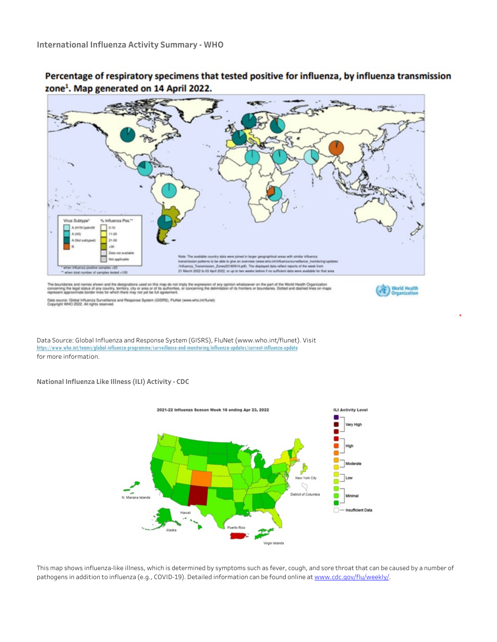

Percentage of respiratory specimens that tested positive for influenza, by influenza transmission zone<sup>1</sup>. Map generated on 14 April 2022.

Data Source: Global Influenza and Response System (GISRS), FluNet (www.who.int/flunet). Visit https://www.who.int/teams/global-influenza-programme/surveillance-and-monitoring/influenza-updates/current-influenza-update

for more information.

**National Influenza Like Illness (ILI) Activity - CDC** 



This map shows influenza-like illness, which is determined by symptoms such as fever, cough, and sore throat that can be caused by a number of pathogens in addition to influenza (e.g., COVID-19). Detailed information can be found online at www.cdc.gov/flu/weekly/.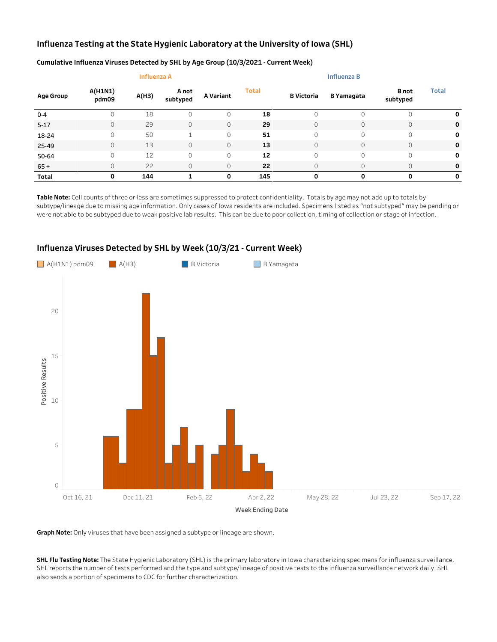# Influenza Testing at the State Hygienic Laboratory at the University of Iowa (SHL)

|                  |                  | <b>Influenza A</b> |                   |           |              |                   |                   |                          |              |
|------------------|------------------|--------------------|-------------------|-----------|--------------|-------------------|-------------------|--------------------------|--------------|
| <b>Age Group</b> | A(H1N1)<br>pdm09 | A(H3)              | A not<br>subtyped | A Variant | <b>Total</b> | <b>B</b> Victoria | <b>B</b> Yamagata | <b>B</b> not<br>subtyped | <b>Total</b> |
| $0 - 4$          |                  | 18                 | 0                 | 0         | 18           |                   |                   |                          | 0            |
| $5 - 17$         | 0                | 29                 | 0                 | $\circ$   | 29           |                   | 0                 | $\mathbf 0$              | 0            |
| 18-24            | 0                | 50                 | $\overline{ }$    | $\circ$   | 51           | $\Omega$          | 0                 | 0                        | 0            |
| 25-49            | 0                | 13                 | 0                 | $\circ$   | 13           |                   | $\Omega$          | $\mathbf 0$              | 0            |
| 50-64            | 0                | 12                 | 0                 | $\circ$   | 12           | $\Omega$          | 0                 | 0                        | 0            |
| $65+$            | 0                | 22                 | 0                 | $\circ$   | 22           |                   | $\Omega$          | $\mathbf 0$              | 0            |
| Total            | Ο                | 144                |                   | 0         | 145          | 0                 | 0                 | $\Omega$                 | 0            |

## Cumulative Influenza Viruses Detected by SHL by Age Group (10/3/2021 - Current Week)

Table Note: Cell counts of three or less are sometimes suppressed to protect confidentiality. Totals by age may not add up to totals by subtype/lineage due to missing age information. Only cases of Iowa residents are included. Specimens listed as "not subtyped" may be pending or were not able to be subtyped due to weak positive lab results. This can be due to poor collection, timing of collection or stage of infection.



# Influenza Viruses Detected by SHL by Week (10/3/21 - Current Week)

Graph Note: Only viruses that have been assigned a subtype or lineage are shown.

SHL Flu Testing Note: The State Hygienic Laboratory (SHL) is the primary laboratory in Iowa characterizing specimens for influenza surveillance. SHL reports the number of tests performed and the type and subtype/lineage of positive tests to the influenza surveillance network daily. SHL also sends a portion of specimens to CDC for further characterization.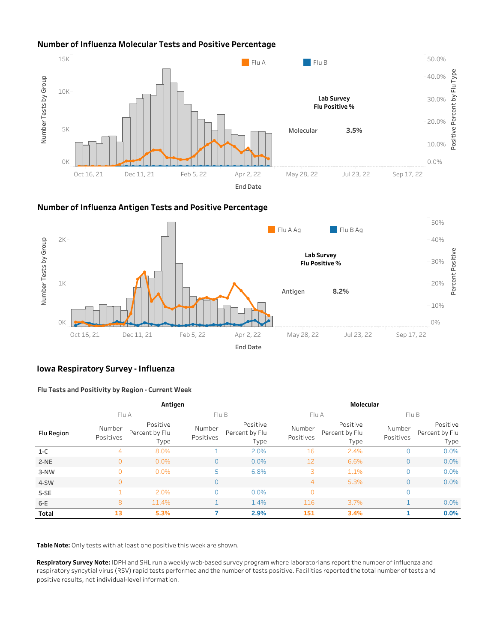# **Number of Influenza Molecular Tests and Positive Percentage**



## **NumberofInfluenzaAntigenTestsandPositivePercentage**



## **Iowa Respiratory Survey - Influenza**

### **FluTestsandPositivitybyRegion-CurrentWeek**

|            |                     | Antigen                            |                                                           |       | Molecular           |                                    |                     |                                    |  |  |  |
|------------|---------------------|------------------------------------|-----------------------------------------------------------|-------|---------------------|------------------------------------|---------------------|------------------------------------|--|--|--|
|            | Flu A               |                                    |                                                           | Flu B |                     |                                    | Flu A<br>FluB       |                                    |  |  |  |
| Flu Region | Number<br>Positives | Positive<br>Percent by Flu<br>Type | Positive<br>Number<br>Percent by Flu<br>Positives<br>Type |       | Number<br>Positives | Positive<br>Percent by Flu<br>Type | Number<br>Positives | Positive<br>Percent by Flu<br>Type |  |  |  |
| $1-C$      | 4                   | 8.0%                               |                                                           | 2.0%  | 16                  | 2.4%                               |                     | 0.0%                               |  |  |  |
| $2-NE$     | $\overline{0}$      | 0.0%                               | $\Omega$                                                  | 0.0%  | 12                  | 6.6%                               | 0                   | 0.0%                               |  |  |  |
| 3-NW       | $\overline{0}$      | 0.0%                               | 5                                                         | 6.8%  | 3                   | 1.1%                               | 0                   | 0.0%                               |  |  |  |
| 4-SW       | $\overline{0}$      |                                    | $\Omega$                                                  |       | $\overline{4}$      | 5.3%                               | $\Omega$            | 0.0%                               |  |  |  |
| $5-SE$     |                     | 2.0%                               | $\Omega$                                                  | 0.0%  | $\mathbf{0}$        |                                    | 0                   |                                    |  |  |  |
| $6-E$      | 8                   | 11.4%                              | ◀                                                         | 1.4%  | 116                 | 3.7%                               |                     | 0.0%                               |  |  |  |
| Total      | 13                  | 5.3%                               |                                                           | 2.9%  | 151                 | 3.4%                               |                     | 0.0%                               |  |  |  |

Table Note: Only tests with at least one positive this week are shown.

Respiratory Survey Note: IDPH and SHL run a weekly web-based survey program where laboratorians report the number of influenza and respiratory syncytial virus (RSV) rapid tests performed and the number of tests positive. Facilities reported the total number of tests and positive results, not individual-level information.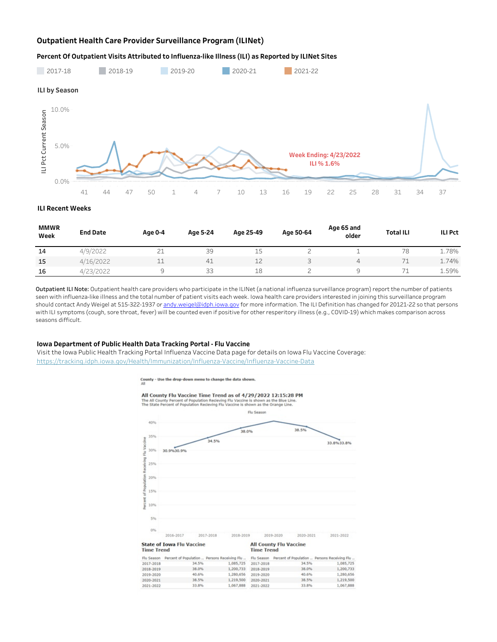### **Outpatient Health Care Provider Surveillance Program (ILINet)**

#### Percent Of Outpatient Visits Attributed to Influenza-like Illness (ILI) as Reported by ILINet Sites



**ILIRecentWeeks**

| <b>MMWR</b><br>Week | <b>End Date</b> | Age 0-4       | Age 5-24 | Age 25-49 | Age 50-64 | Age 65 and<br>older | <b>Total ILI</b>           | <b>ILI Pct</b> |
|---------------------|-----------------|---------------|----------|-----------|-----------|---------------------|----------------------------|----------------|
| 14                  | 4/9/2022        | $\sim$<br>C T | 39       | ب         |           |                     | 78                         | 1.78%          |
| 15                  | 4/16/2022       |               | 41       | 12        |           |                     | $\overline{\phantom{a}}$ d | 1.74%          |
| 16                  | 4/23/2022       |               | 33       | 18        |           |                     |                            | 1.59%          |

Outpatient ILI Note: Outpatient health care providers who participate in the ILINet (a national influenza surveillance program) report the number of patients seen with influenza-like illness and the total number of patient visits each week. Iowa health care providers interested in joining this surveillance program should contact Andy Weigel at 515-322-1937 or andy.weigel@idph.iowa.gov for more information. The ILI Definition has changed for 20121-22 so that persons with ILI symptoms (cough, sore throat, fever) will be counted even if positive for other resperitory illness (e.g., COVID-19) which makes comparison across seasons difficult.

### **Iowa Department of Public Health Data Tracking Portal - Flu Vaccine**

Visit the Iowa Public Health Tracking Portal Influenza Vaccine Data page for details on Iowa Flu Vaccine Coverage: https://tracking.idph.iowa.gov/Health/Immunization/Influenza-Vaccine/Influenza-Vaccine-Data



County - Use the drop-down menu to change the data shown.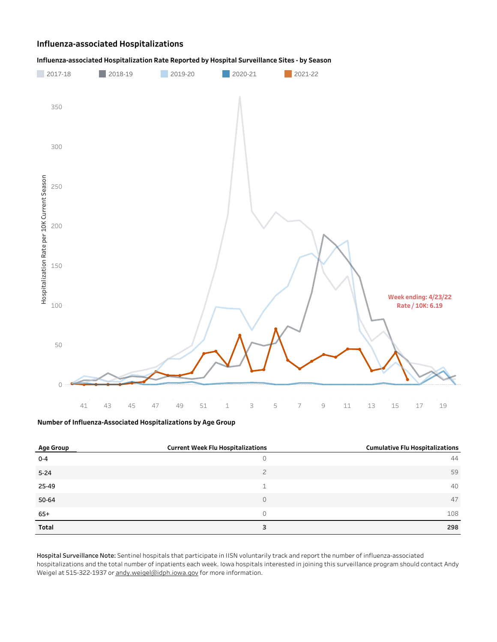## **Influenza-associatedHospitalizations**





### **NumberofInfluenza-AssociatedHospitalizationsbyAgeGroup**

| <b>Age Group</b> | <b>Current Week Flu Hospitalizations</b> | <b>Cumulative Flu Hospitalizations</b> |
|------------------|------------------------------------------|----------------------------------------|
| $0 - 4$          | U                                        | 44                                     |
| $5 - 24$         | $\overline{2}$                           | 59                                     |
| 25-49            |                                          | 40                                     |
| 50-64            | $\Omega$                                 | 47                                     |
| $65+$            | 0                                        | 108                                    |
| Total            | 3                                        | 298                                    |

Hospital Surveillance Note: Sentinel hospitals that participate in IISN voluntarily track and report the number of influenza-associated hospitalizations and the total number of inpatients each week. Iowa hospitals interested in joining this surveillance program should contact Andy Weigel at 515-322-1937 or andy.weigel@idph.iowa.gov for more information.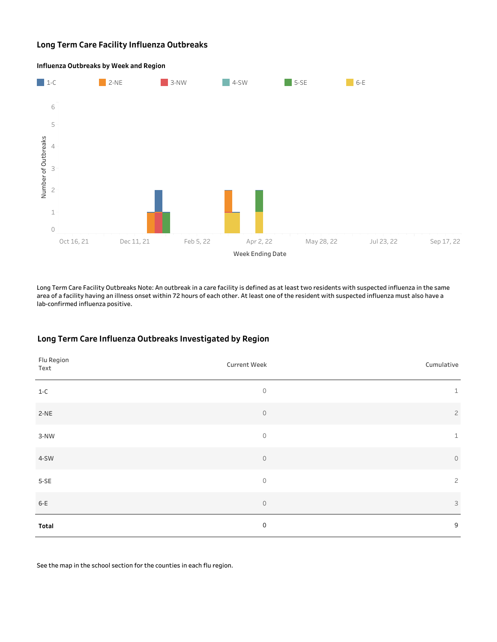## **Long Term Care Facility Influenza Outbreaks**



**Influenza Outbreaks by Week and Region** 

Long Term Care Facility Outbreaks Note: An outbreak in a care facility is defined as at least two residents with suspected influenza in the same area of a facility having an illness onset within 72 hours of each other. At least one of the resident with suspected influenza must also have a lab-confirmed influenza positive.

## Long Term Care Influenza Outbreaks Investigated by Region

| Flu Region<br>Text | Current Week | Cumulative     |
|--------------------|--------------|----------------|
| $1-C$              | $\circ$      | $\mathbf{1}$   |
| $2-NE$             | $\mathbb O$  | $\overline{c}$ |
| $3-NW$             | $\circ$      | $\mathbf{1}$   |
| 4-SW               | $\circ$      | $\circ$        |
| $5-SE$             | $\circ$      | $\overline{c}$ |
| $6-E$              | $\circ$      | $\mathsf 3$    |
| Total              | $\mathbf 0$  | 9              |

See the map in the school section for the counties in each flu region.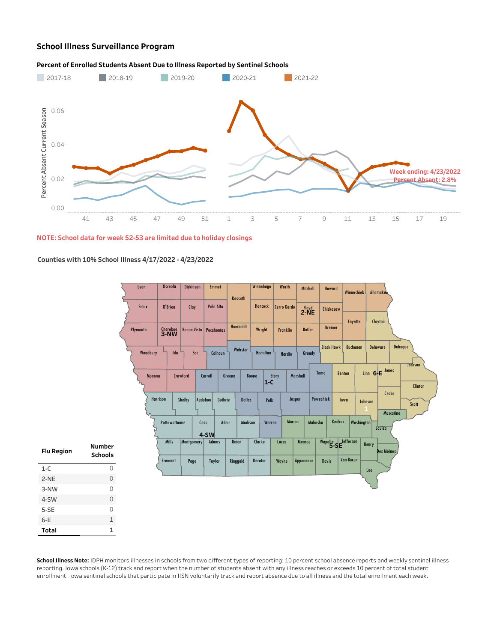# **School Illness Surveillance Program**

### Percent of Enrolled Students Absent Due to Illness Reported by Sentinel Schools



#### **NOTE:Schooldataforweek52-53arelimitedduetoholidayclosings**

## **Countieswith10%SchoolIllness4/17/2022-4/23/2022**

|                   |                                 | Lyon            | <b>Osceola</b>          | <b>Dickinson</b> | <b>Emmet</b>                  |         | Kossuth       | Winnebago        | Worth           |               | Mitchell      | Howard               | Winneshiek       |                   | Allamakee          |                           |
|-------------------|---------------------------------|-----------------|-------------------------|------------------|-------------------------------|---------|---------------|------------------|-----------------|---------------|---------------|----------------------|------------------|-------------------|--------------------|---------------------------|
|                   |                                 | Sioux           | O'Brien                 | Clay             | Palo Alto                     |         |               | Hancock          | Cerro Gordo     |               | $2-NE$        | Chickasaw            |                  |                   |                    |                           |
|                   |                                 | Plymouth        | Cherokee<br><b>3-NW</b> |                  | <b>Buena Vista Pocahontas</b> |         | Humboldt      | Wright           | <b>Franklin</b> |               | <b>Butler</b> | <b>Bremer</b>        | Fayette          |                   | Clayton            |                           |
|                   |                                 | Woodbury        | Ida                     | Sac              | Calhoun                       |         | Webster       | <b>Hamilton</b>  | Hardin          |               | Grundy        | <b>Black Hawk</b>    | <b>Buchanan</b>  |                   | <b>Delaware</b>    | Dubuque                   |
|                   |                                 | Monona          |                         | Crawford         | Carroll                       | Greene  |               | Boone<br>$ 1-C $ | Story           | Marshall      | Tama          |                      | <b>Benton</b>    |                   | Linn 6-E Jones     | <b>Jackson</b><br>Clinton |
|                   |                                 | <b>Harrison</b> |                         | Shelby           | Audubon                       | Guthrie | <b>Dallas</b> | Polk             |                 | Jasper        | Poweshiek     |                      | lowa             | Johnson           | Cedar<br>Muscatine | Scott                     |
|                   |                                 |                 | Pottawattamie           |                  | Cass<br>$4-SW$                | Adair   | Madison       | Warren           |                 | <b>Marion</b> | Mahaska       | Keokuk               |                  | <b>Washington</b> | Louisa             |                           |
| <b>Flu Region</b> | <b>Number</b><br><b>Schools</b> |                 | <b>Mills</b>            | Montgomery       | <b>Adams</b>                  |         | Union         | Clarke           | Lucas           | Monroe        |               | Wapello SE Jefferson |                  | Henry             | <b>Des Moines</b>  |                           |
| $1-C$             | $\mathsf O$                     |                 | Fremont                 | Page             | <b>Taylor</b>                 |         | Ringgold      | Decatur          | Wayne           | Appanoose     |               | <b>Davis</b>         | <b>Van Buren</b> | Lee               |                    |                           |
| $2-NE$            | $\circ$                         |                 |                         |                  |                               |         |               |                  |                 |               |               |                      |                  |                   |                    |                           |
| 3-NW              | $\circ$                         |                 |                         |                  |                               |         |               |                  |                 |               |               |                      |                  |                   |                    |                           |
| 4-SW              | $\circ$                         |                 |                         |                  |                               |         |               |                  |                 |               |               |                      |                  |                   |                    |                           |
| $5-SE$            | $\circ$                         |                 |                         |                  |                               |         |               |                  |                 |               |               |                      |                  |                   |                    |                           |
| $6-E$             | $\mathbbm{1}$                   |                 |                         |                  |                               |         |               |                  |                 |               |               |                      |                  |                   |                    |                           |
| Total             | $\mathbf{1}$                    |                 |                         |                  |                               |         |               |                  |                 |               |               |                      |                  |                   |                    |                           |

School Illness Note: IDPH monitors illnesses in schools from two different types of reporting: 10 percent school absence reports and weekly sentinel illness reporting. Iowa schools (K-12) track and report when the number of students absent with any illness reaches or exceeds 10 percent of total student enrollment. Iowa sentinel schools that participate in IISN voluntarily track and report absence due to all illness and the total enrollment each week.